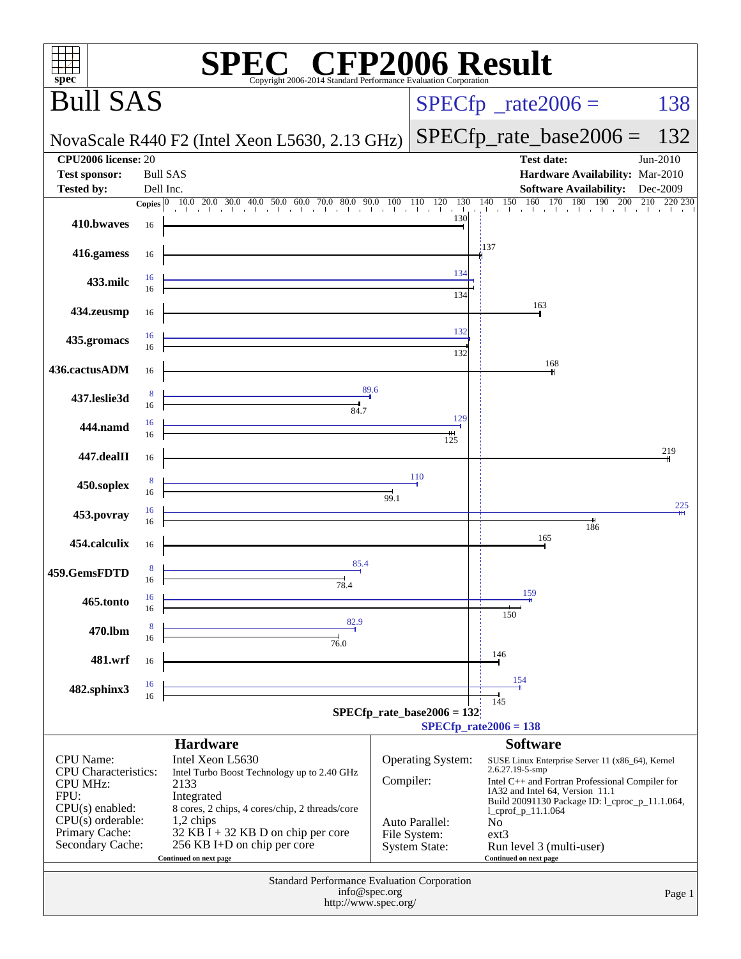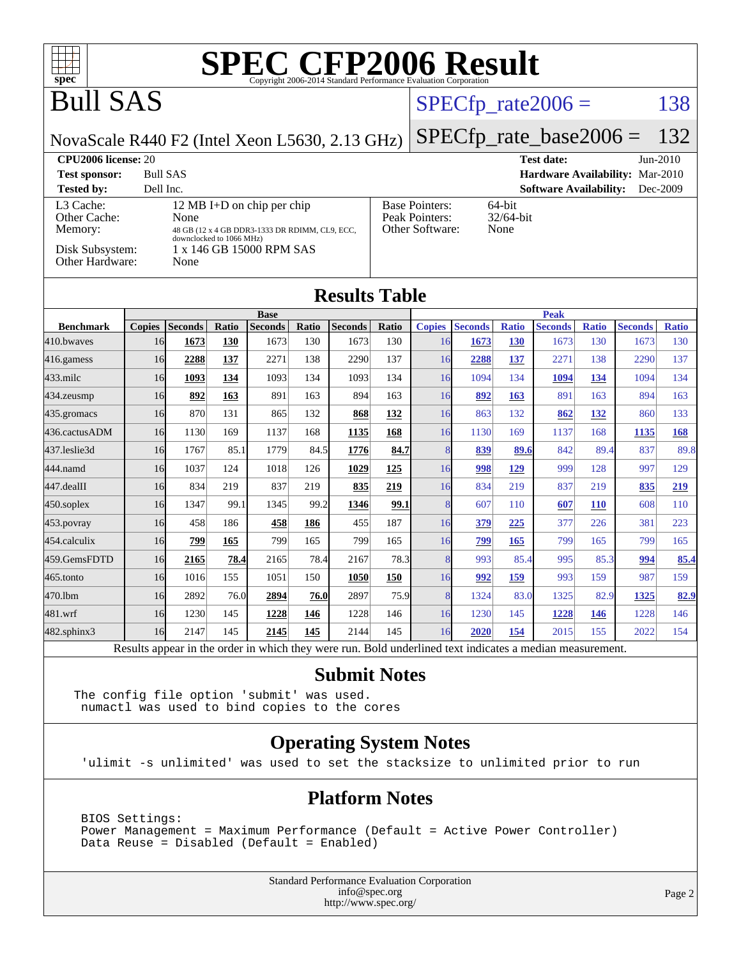

#### **[Submit Notes](http://www.spec.org/auto/cpu2006/Docs/result-fields.html#SubmitNotes)**

The config file option 'submit' was used. numactl was used to bind copies to the cores

#### **[Operating System Notes](http://www.spec.org/auto/cpu2006/Docs/result-fields.html#OperatingSystemNotes)**

'ulimit -s unlimited' was used to set the stacksize to unlimited prior to run

#### **[Platform Notes](http://www.spec.org/auto/cpu2006/Docs/result-fields.html#PlatformNotes)**

 BIOS Settings: Power Management = Maximum Performance (Default = Active Power Controller) Data Reuse = Disabled (Default = Enabled)

> Standard Performance Evaluation Corporation [info@spec.org](mailto:info@spec.org) <http://www.spec.org/>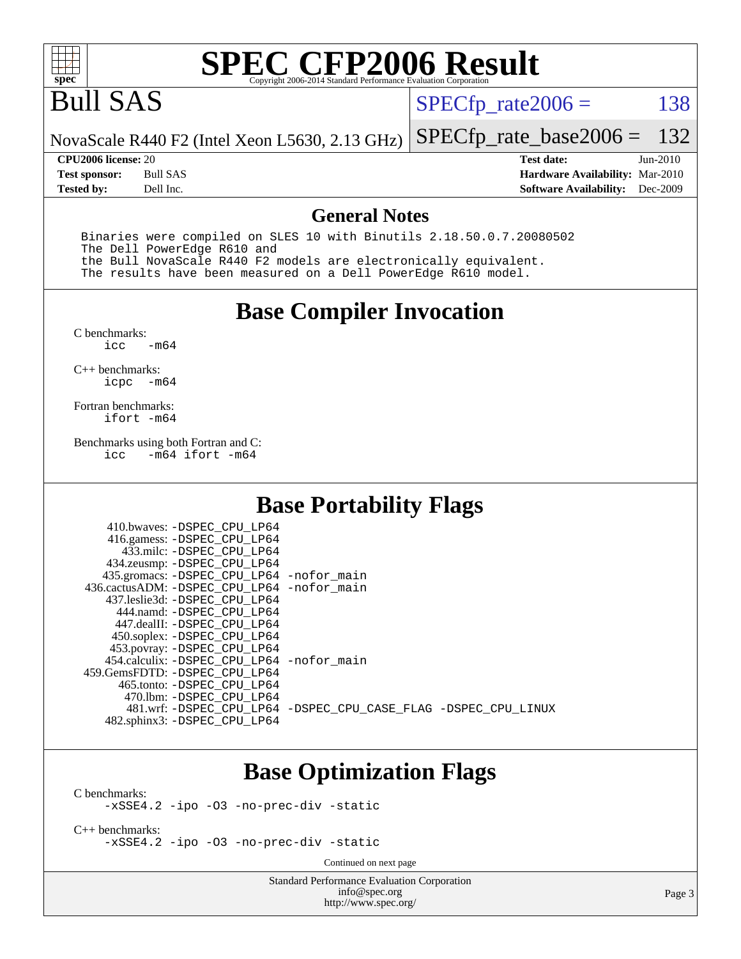

# Bull SAS

 $SPECTp_rate2006 = 138$ 

NovaScale R440 F2 (Intel Xeon L5630, 2.13 GHz) [SPECfp\\_rate\\_base2006 =](http://www.spec.org/auto/cpu2006/Docs/result-fields.html#SPECfpratebase2006) 132

**[Tested by:](http://www.spec.org/auto/cpu2006/Docs/result-fields.html#Testedby)** Dell Inc. **[Software Availability:](http://www.spec.org/auto/cpu2006/Docs/result-fields.html#SoftwareAvailability)** Dec-2009

**[CPU2006 license:](http://www.spec.org/auto/cpu2006/Docs/result-fields.html#CPU2006license)** 20 **[Test date:](http://www.spec.org/auto/cpu2006/Docs/result-fields.html#Testdate)** Jun-2010 **[Test sponsor:](http://www.spec.org/auto/cpu2006/Docs/result-fields.html#Testsponsor)** Bull SAS **[Hardware Availability:](http://www.spec.org/auto/cpu2006/Docs/result-fields.html#HardwareAvailability)** Mar-2010

#### **[General Notes](http://www.spec.org/auto/cpu2006/Docs/result-fields.html#GeneralNotes)**

 Binaries were compiled on SLES 10 with Binutils 2.18.50.0.7.20080502 The Dell PowerEdge R610 and the Bull NovaScale R440 F2 models are electronically equivalent. The results have been measured on a Dell PowerEdge R610 model.

#### **[Base Compiler Invocation](http://www.spec.org/auto/cpu2006/Docs/result-fields.html#BaseCompilerInvocation)**

 $C$  benchmarks:<br>icc  $-m64$ 

[C++ benchmarks:](http://www.spec.org/auto/cpu2006/Docs/result-fields.html#CXXbenchmarks) [icpc -m64](http://www.spec.org/cpu2006/results/res2010q3/cpu2006-20100706-12216.flags.html#user_CXXbase_intel_icpc_64bit_bedb90c1146cab66620883ef4f41a67e)

[Fortran benchmarks](http://www.spec.org/auto/cpu2006/Docs/result-fields.html#Fortranbenchmarks): [ifort -m64](http://www.spec.org/cpu2006/results/res2010q3/cpu2006-20100706-12216.flags.html#user_FCbase_intel_ifort_64bit_ee9d0fb25645d0210d97eb0527dcc06e)

[Benchmarks using both Fortran and C](http://www.spec.org/auto/cpu2006/Docs/result-fields.html#BenchmarksusingbothFortranandC):<br>icc -m64 ifort -m64  $-m64$  ifort  $-m64$ 

#### **[Base Portability Flags](http://www.spec.org/auto/cpu2006/Docs/result-fields.html#BasePortabilityFlags)**

| 410.bwaves: -DSPEC CPU LP64<br>416.gamess: -DSPEC_CPU_LP64<br>433.milc: -DSPEC CPU LP64<br>434.zeusmp: -DSPEC_CPU_LP64<br>435.gromacs: -DSPEC_CPU_LP64 -nofor_main<br>436.cactusADM: -DSPEC CPU LP64 -nofor main<br>437.leslie3d: -DSPEC CPU LP64<br>444.namd: -DSPEC CPU LP64<br>447.dealII: -DSPEC CPU LP64 |                                                                |
|---------------------------------------------------------------------------------------------------------------------------------------------------------------------------------------------------------------------------------------------------------------------------------------------------------------|----------------------------------------------------------------|
| 450.soplex: -DSPEC CPU LP64<br>453.povray: -DSPEC_CPU_LP64<br>454.calculix: - DSPEC CPU LP64 - nofor main<br>459. GemsFDTD: - DSPEC CPU LP64<br>465.tonto: -DSPEC CPU LP64                                                                                                                                    |                                                                |
| 470.1bm: - DSPEC CPU LP64<br>482.sphinx3: -DSPEC_CPU_LP64                                                                                                                                                                                                                                                     | 481.wrf: -DSPEC CPU_LP64 -DSPEC_CPU_CASE_FLAG -DSPEC_CPU_LINUX |

### **[Base Optimization Flags](http://www.spec.org/auto/cpu2006/Docs/result-fields.html#BaseOptimizationFlags)**

[C benchmarks](http://www.spec.org/auto/cpu2006/Docs/result-fields.html#Cbenchmarks):

[-xSSE4.2](http://www.spec.org/cpu2006/results/res2010q3/cpu2006-20100706-12216.flags.html#user_CCbase_f-xSSE42_f91528193cf0b216347adb8b939d4107) [-ipo](http://www.spec.org/cpu2006/results/res2010q3/cpu2006-20100706-12216.flags.html#user_CCbase_f-ipo) [-O3](http://www.spec.org/cpu2006/results/res2010q3/cpu2006-20100706-12216.flags.html#user_CCbase_f-O3) [-no-prec-div](http://www.spec.org/cpu2006/results/res2010q3/cpu2006-20100706-12216.flags.html#user_CCbase_f-no-prec-div) [-static](http://www.spec.org/cpu2006/results/res2010q3/cpu2006-20100706-12216.flags.html#user_CCbase_f-static)

[C++ benchmarks:](http://www.spec.org/auto/cpu2006/Docs/result-fields.html#CXXbenchmarks) [-xSSE4.2](http://www.spec.org/cpu2006/results/res2010q3/cpu2006-20100706-12216.flags.html#user_CXXbase_f-xSSE42_f91528193cf0b216347adb8b939d4107) [-ipo](http://www.spec.org/cpu2006/results/res2010q3/cpu2006-20100706-12216.flags.html#user_CXXbase_f-ipo) [-O3](http://www.spec.org/cpu2006/results/res2010q3/cpu2006-20100706-12216.flags.html#user_CXXbase_f-O3) [-no-prec-div](http://www.spec.org/cpu2006/results/res2010q3/cpu2006-20100706-12216.flags.html#user_CXXbase_f-no-prec-div) [-static](http://www.spec.org/cpu2006/results/res2010q3/cpu2006-20100706-12216.flags.html#user_CXXbase_f-static)

Continued on next page

Standard Performance Evaluation Corporation [info@spec.org](mailto:info@spec.org) <http://www.spec.org/>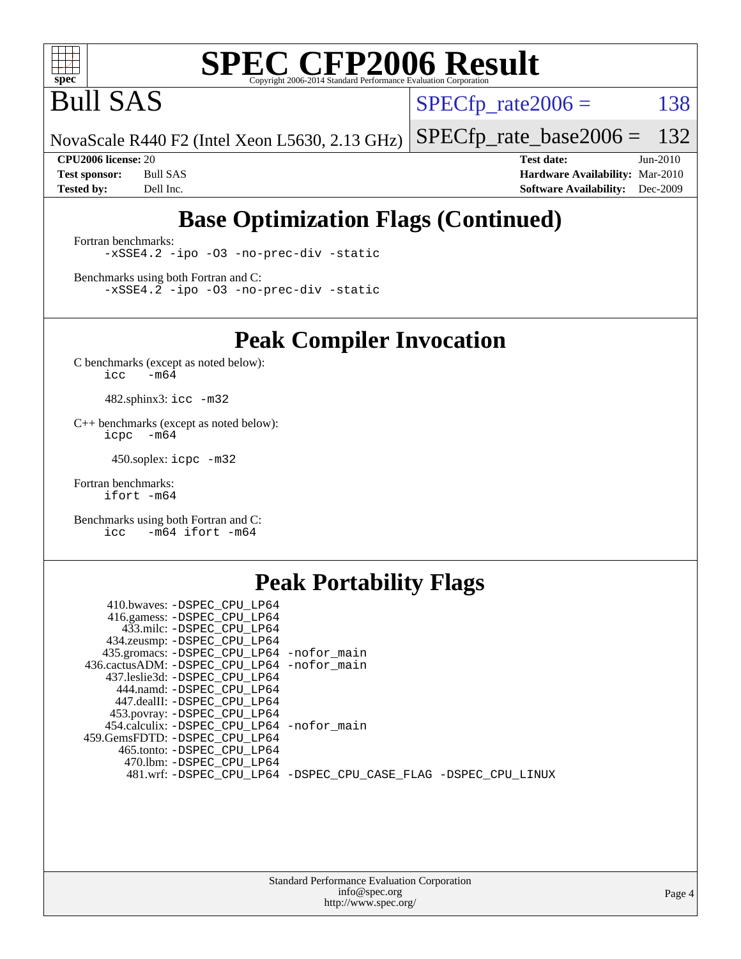

Bull SAS

 $SPECTp_rate2006 = 138$ 

NovaScale R440 F2 (Intel Xeon L5630, 2.13 GHz) [SPECfp\\_rate\\_base2006 =](http://www.spec.org/auto/cpu2006/Docs/result-fields.html#SPECfpratebase2006) 132

**[CPU2006 license:](http://www.spec.org/auto/cpu2006/Docs/result-fields.html#CPU2006license)** 20 **[Test date:](http://www.spec.org/auto/cpu2006/Docs/result-fields.html#Testdate)** Jun-2010 **[Test sponsor:](http://www.spec.org/auto/cpu2006/Docs/result-fields.html#Testsponsor)** Bull SAS **[Hardware Availability:](http://www.spec.org/auto/cpu2006/Docs/result-fields.html#HardwareAvailability)** Mar-2010 **[Tested by:](http://www.spec.org/auto/cpu2006/Docs/result-fields.html#Testedby)** Dell Inc. **[Software Availability:](http://www.spec.org/auto/cpu2006/Docs/result-fields.html#SoftwareAvailability)** Dec-2009

### **[Base Optimization Flags \(Continued\)](http://www.spec.org/auto/cpu2006/Docs/result-fields.html#BaseOptimizationFlags)**

[Fortran benchmarks](http://www.spec.org/auto/cpu2006/Docs/result-fields.html#Fortranbenchmarks): [-xSSE4.2](http://www.spec.org/cpu2006/results/res2010q3/cpu2006-20100706-12216.flags.html#user_FCbase_f-xSSE42_f91528193cf0b216347adb8b939d4107) [-ipo](http://www.spec.org/cpu2006/results/res2010q3/cpu2006-20100706-12216.flags.html#user_FCbase_f-ipo) [-O3](http://www.spec.org/cpu2006/results/res2010q3/cpu2006-20100706-12216.flags.html#user_FCbase_f-O3) [-no-prec-div](http://www.spec.org/cpu2006/results/res2010q3/cpu2006-20100706-12216.flags.html#user_FCbase_f-no-prec-div) [-static](http://www.spec.org/cpu2006/results/res2010q3/cpu2006-20100706-12216.flags.html#user_FCbase_f-static)

[Benchmarks using both Fortran and C](http://www.spec.org/auto/cpu2006/Docs/result-fields.html#BenchmarksusingbothFortranandC): [-xSSE4.2](http://www.spec.org/cpu2006/results/res2010q3/cpu2006-20100706-12216.flags.html#user_CC_FCbase_f-xSSE42_f91528193cf0b216347adb8b939d4107) [-ipo](http://www.spec.org/cpu2006/results/res2010q3/cpu2006-20100706-12216.flags.html#user_CC_FCbase_f-ipo) [-O3](http://www.spec.org/cpu2006/results/res2010q3/cpu2006-20100706-12216.flags.html#user_CC_FCbase_f-O3) [-no-prec-div](http://www.spec.org/cpu2006/results/res2010q3/cpu2006-20100706-12216.flags.html#user_CC_FCbase_f-no-prec-div) [-static](http://www.spec.org/cpu2006/results/res2010q3/cpu2006-20100706-12216.flags.html#user_CC_FCbase_f-static)

**[Peak Compiler Invocation](http://www.spec.org/auto/cpu2006/Docs/result-fields.html#PeakCompilerInvocation)**

[C benchmarks \(except as noted below\)](http://www.spec.org/auto/cpu2006/Docs/result-fields.html#Cbenchmarksexceptasnotedbelow):  $\text{icc}$  -m64

482.sphinx3: [icc -m32](http://www.spec.org/cpu2006/results/res2010q3/cpu2006-20100706-12216.flags.html#user_peakCCLD482_sphinx3_intel_icc_32bit_a6a621f8d50482236b970c6ac5f55f93)

[C++ benchmarks \(except as noted below\):](http://www.spec.org/auto/cpu2006/Docs/result-fields.html#CXXbenchmarksexceptasnotedbelow) [icpc -m64](http://www.spec.org/cpu2006/results/res2010q3/cpu2006-20100706-12216.flags.html#user_CXXpeak_intel_icpc_64bit_bedb90c1146cab66620883ef4f41a67e)

450.soplex: [icpc -m32](http://www.spec.org/cpu2006/results/res2010q3/cpu2006-20100706-12216.flags.html#user_peakCXXLD450_soplex_intel_icpc_32bit_4e5a5ef1a53fd332b3c49e69c3330699)

[Fortran benchmarks](http://www.spec.org/auto/cpu2006/Docs/result-fields.html#Fortranbenchmarks): [ifort -m64](http://www.spec.org/cpu2006/results/res2010q3/cpu2006-20100706-12216.flags.html#user_FCpeak_intel_ifort_64bit_ee9d0fb25645d0210d97eb0527dcc06e)

[Benchmarks using both Fortran and C](http://www.spec.org/auto/cpu2006/Docs/result-fields.html#BenchmarksusingbothFortranandC): [icc -m64](http://www.spec.org/cpu2006/results/res2010q3/cpu2006-20100706-12216.flags.html#user_CC_FCpeak_intel_icc_64bit_0b7121f5ab7cfabee23d88897260401c) [ifort -m64](http://www.spec.org/cpu2006/results/res2010q3/cpu2006-20100706-12216.flags.html#user_CC_FCpeak_intel_ifort_64bit_ee9d0fb25645d0210d97eb0527dcc06e)

#### **[Peak Portability Flags](http://www.spec.org/auto/cpu2006/Docs/result-fields.html#PeakPortabilityFlags)**

| 410.bwaves: -DSPEC CPU LP64                                    |  |
|----------------------------------------------------------------|--|
| 416.gamess: -DSPEC_CPU_LP64                                    |  |
| 433.milc: -DSPEC CPU LP64                                      |  |
| 434.zeusmp: -DSPEC_CPU_LP64                                    |  |
| 435.gromacs: -DSPEC_CPU_LP64 -nofor_main                       |  |
| 436.cactusADM: -DSPEC CPU LP64 -nofor main                     |  |
| 437.leslie3d: -DSPEC CPU LP64                                  |  |
| 444.namd: -DSPEC CPU LP64                                      |  |
| 447.dealII: -DSPEC CPU LP64                                    |  |
| 453.povray: -DSPEC_CPU_LP64                                    |  |
| 454.calculix: -DSPEC_CPU_LP64 -nofor_main                      |  |
| 459.GemsFDTD: -DSPEC CPU LP64                                  |  |
| 465.tonto: -DSPEC CPU LP64                                     |  |
| 470.1bm: - DSPEC CPU LP64                                      |  |
| 481.wrf: -DSPEC_CPU_LP64 -DSPEC_CPU_CASE_FLAG -DSPEC_CPU_LINUX |  |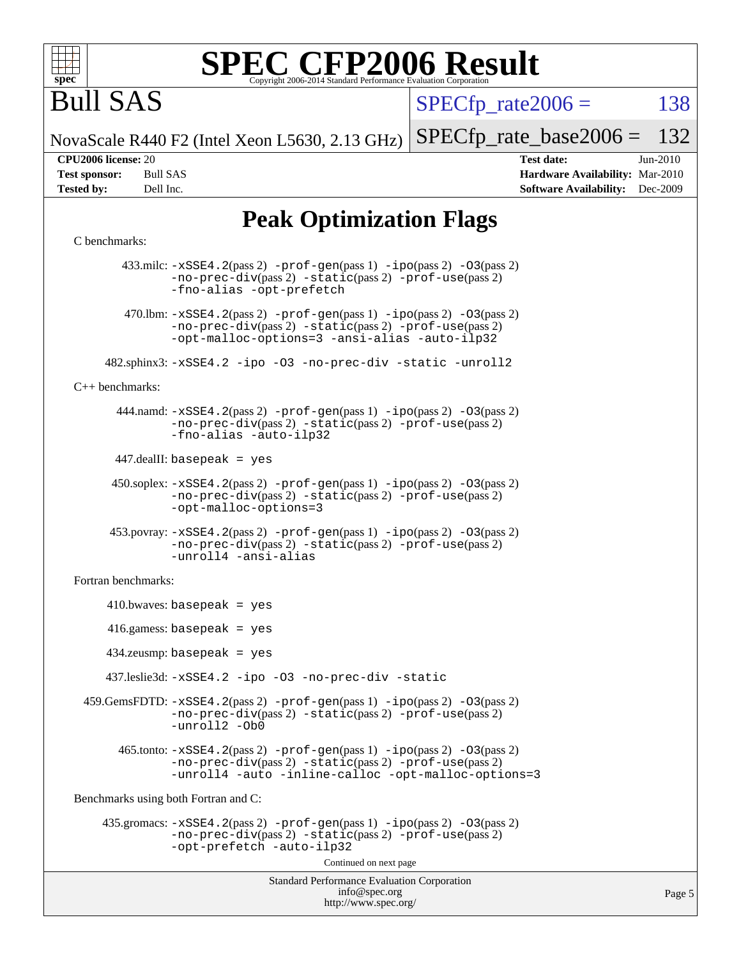

# Bull SAS

 $SPECTp\_rate2006 = 138$ 

Page 5

NovaScale R440 F2 (Intel Xeon L5630, 2.13 GHz) [SPECfp\\_rate\\_base2006 =](http://www.spec.org/auto/cpu2006/Docs/result-fields.html#SPECfpratebase2006) 132

**[CPU2006 license:](http://www.spec.org/auto/cpu2006/Docs/result-fields.html#CPU2006license)** 20 **[Test date:](http://www.spec.org/auto/cpu2006/Docs/result-fields.html#Testdate)** Jun-2010 **[Test sponsor:](http://www.spec.org/auto/cpu2006/Docs/result-fields.html#Testsponsor)** Bull SAS **[Hardware Availability:](http://www.spec.org/auto/cpu2006/Docs/result-fields.html#HardwareAvailability)** Mar-2010 **[Tested by:](http://www.spec.org/auto/cpu2006/Docs/result-fields.html#Testedby)** Dell Inc. **[Software Availability:](http://www.spec.org/auto/cpu2006/Docs/result-fields.html#SoftwareAvailability)** Dec-2009

## **[Peak Optimization Flags](http://www.spec.org/auto/cpu2006/Docs/result-fields.html#PeakOptimizationFlags)**

#### [C benchmarks](http://www.spec.org/auto/cpu2006/Docs/result-fields.html#Cbenchmarks):

```
Standard Performance Evaluation Corporation
                                            info@spec.org
                                          http://www.spec.org/
         433.milc: -xSSE4.2(pass 2) -prof-gen(pass 1) -ipo(pass 2) -O3(pass 2)
                -no-prec-div(pass 2) -static(pass 2) -prof-use(pass 2)
                -fno-alias -opt-prefetch
        470.1bm: -xSSE4. 2(pass 2) -prof-gen-ipo-O3(pass 2)-no-prec-div(pass 2) -static(pass 2) -prof-use(pass 2)
                -opt-malloc-options=3 -ansi-alias -auto-ilp32
      482.sphinx3: -xSSE4.2 -ipo -O3 -no-prec-div -static -unroll2
C++ benchmarks: 
        444.namd: -xSSE4.2(pass 2) -prof-gen(pass 1) -ipo(pass 2) -O3(pass 2)
                -no-prec-div(pass 2) -static(pass 2) -prof-use(pass 2)
                -fno-alias -auto-ilp32
       447.dealII: basepeak = yes
      450.\text{soplex: } -x\text{SSE4}.2(\text{pass 2}) -\text{prof-gen}(\text{pass 1}) -\text{ipo}(\text{pass 2}) -\text{O3}(\text{pass 2})-no-prec-div(pass 2) -static(pass 2) -prof-use(pass 2)
                -opt-malloc-options=3
       453.povray: -xSSE4.2(pass 2) -prof-gen(pass 1) -ipo(pass 2) -O3(pass 2)
                -no-prec-div(pass 2) -static(pass 2) -prof-use(pass 2)
                -unroll4 -ansi-alias
Fortran benchmarks: 
     410.bwaves: basepeak = yes 416.gamess: basepeak = yes
      434.zeusmp: basepeak = yes
      437.leslie3d: -xSSE4.2 -ipo -O3 -no-prec-div -static
  459.GemsFDTD: -xSSE4.2(pass 2) -prof-gen(pass 1) -ipo(pass 2) -O3(pass 2)
                -no-prec-div(pass 2) -static(pass 2) -prof-use(pass 2)
                -unroll2 -Ob0
       465.tonto: -xSSE4. 2(pass 2)-prof-gen-ipo(pass 2) -03(pass 2)
                -no-prec-div(pass 2) -static(pass 2) -prof-use(pass 2)
                -unroll4 -auto -inline-calloc -opt-malloc-options=3
Benchmarks using both Fortran and C: 
     435.gromacs: -xSSE4.2(pass 2) -prof-gen(pass 1) -ipo(pass 2) -O3(pass 2)
                -no-prec-div(pass 2) -static(pass 2) -prof-use(pass 2)
                -opt-prefetch -auto-ilp32
                                          Continued on next page
```